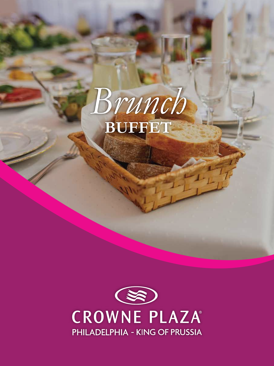